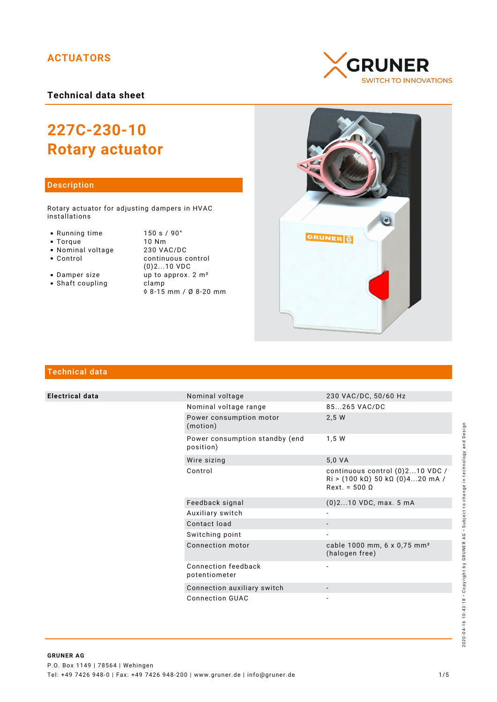# **ACTUATORS**

**Technical data sheet**

# **227C-230-10 Rotary actuator**

## Description

Rotary actuator for adjusting dampers in HVAC installations

- 
- 
- 
- Nominal voltage<br>• Control
- 
- $\bullet$  Shaft coupling

• Running time 150 s / 90°<br>• Torque 10 Nm • Torque 10 Nm<br>• Nominal voltage 230 VAC/DC continuous control (0)2...10 VDC • Damper size  $\frac{1}{2}$  up to approx.  $2 \text{ m}^2$ <br>• Shaft coupling clamp ◊ 8-15 mm / Ø 8-20 mm





# Technical data

**Electrical data** 

|  | Nominal voltage                             | 230 VAC/DC, 50/60 Hz                                                                                                         |
|--|---------------------------------------------|------------------------------------------------------------------------------------------------------------------------------|
|  | Nominal voltage range                       | 85265 VAC/DC                                                                                                                 |
|  | Power consumption motor<br>(motion)         | 2,5 W                                                                                                                        |
|  | Power consumption standby (end<br>position) | 1.5W                                                                                                                         |
|  | Wire sizing                                 | 5,0 VA                                                                                                                       |
|  | Control                                     | continuous control (0)210 VDC /<br>$\text{Ri} > (100 \text{ k}\Omega) 50 \text{ k}\Omega (0)420 \text{ mA}$<br>$Rext = 5000$ |
|  | Feedback signal                             | $(0)$ 210 VDC, max. 5 mA                                                                                                     |
|  | Auxiliary switch                            |                                                                                                                              |
|  | Contact load                                |                                                                                                                              |
|  | Switching point                             |                                                                                                                              |
|  | Connection motor                            | cable 1000 mm, 6 x 0,75 mm <sup>2</sup><br>(halogen free)                                                                    |
|  | Connection feedback<br>potentiometer        |                                                                                                                              |
|  | Connection auxiliary switch                 |                                                                                                                              |
|  | <b>Connection GUAC</b>                      |                                                                                                                              |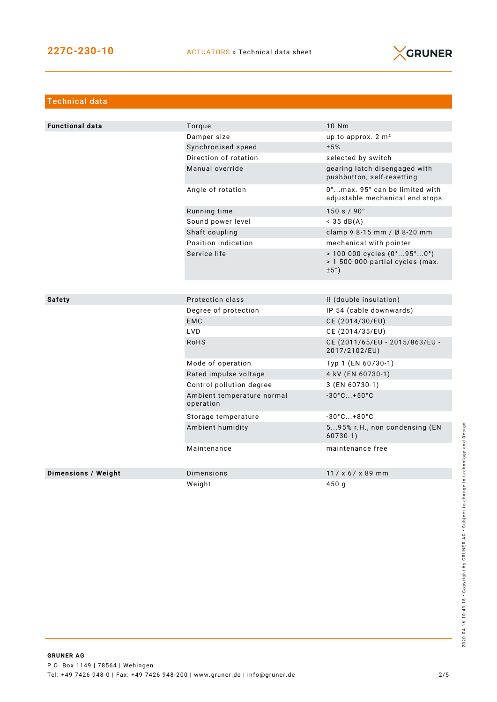

| <b>Technical data</b>      |                                         |                                                                                                             |  |
|----------------------------|-----------------------------------------|-------------------------------------------------------------------------------------------------------------|--|
|                            |                                         |                                                                                                             |  |
| <b>Functional data</b>     | Torque                                  | 10 Nm                                                                                                       |  |
|                            | Damper size                             | up to approx. 2 m <sup>2</sup>                                                                              |  |
|                            | Synchronised speed                      | ±5%                                                                                                         |  |
|                            | Direction of rotation                   | selected by switch                                                                                          |  |
|                            | Manual override                         | gearing latch disengaged with<br>pushbutton, self-resetting                                                 |  |
|                            | Angle of rotation                       | 0°max. 95° can be limited with<br>adjustable mechanical end stops                                           |  |
|                            | Running time                            | 150 s / 90°                                                                                                 |  |
|                            | Sound power level                       | $<$ 35 dB(A)                                                                                                |  |
|                            | Shaft coupling                          | clamp $\Diamond$ 8-15 mm / Ø 8-20 mm                                                                        |  |
|                            | Position indication                     | mechanical with pointer                                                                                     |  |
|                            | Service life                            | $> 100000$ cycles $(0^{\circ}95^{\circ}0^{\circ})$<br>> 1 500 000 partial cycles (max.<br>$\pm 5^{\circ}$ ) |  |
|                            |                                         |                                                                                                             |  |
| <b>Safety</b>              | Protection class                        | II (double insulation)                                                                                      |  |
|                            | Degree of protection                    | IP 54 (cable downwards)                                                                                     |  |
|                            | <b>EMC</b>                              | CE (2014/30/EU)                                                                                             |  |
|                            | LVD                                     | CE (2014/35/EU)                                                                                             |  |
|                            | <b>RoHS</b>                             | CE (2011/65/EU - 2015/863/EU -<br>2017/2102/EU)                                                             |  |
|                            | Mode of operation                       | Typ 1 (EN 60730-1)                                                                                          |  |
|                            | Rated impulse voltage                   | 4 kV (EN 60730-1)                                                                                           |  |
|                            | Control pollution degree                | 3 (EN 60730-1)                                                                                              |  |
|                            | Ambient temperature normal<br>operation | $-30^{\circ}$ C +50 $^{\circ}$ C                                                                            |  |
|                            | Storage temperature                     | $-30^{\circ}$ C +80 $^{\circ}$ C                                                                            |  |
|                            | Ambient humidity                        | 595% r.H., non condensing (EN<br>$60730-1)$                                                                 |  |
|                            | Maintenance                             | maintenance free                                                                                            |  |
|                            |                                         |                                                                                                             |  |
| <b>Dimensions / Weight</b> | Dimensions                              | 117 x 67 x 89 mm                                                                                            |  |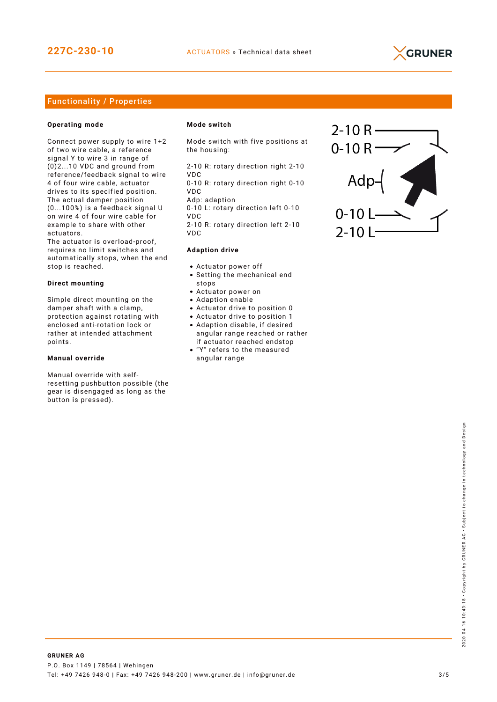

## Functionality / Properties

#### **Operating mode**

Connect power supply to wire 1+2 of two wire cable, a reference signal Y to wire 3 in range of (0)2...10 VDC and ground from reference/feedback signal to wire 4 of four wire cable, actuator drives to its specified position. The actual damper position (0...100%) is a feedback signal U on wire 4 of four wire cable for example to share with other actuators.

The actuator is overload-proof, requires no limit switches and automatically stops, when the end stop is reached.

#### **Direct mounting**

Simple direct mounting on the damper shaft with a clamp, protection against rotating with enclosed anti-rotation lock or rather at intended attachment points.

#### **Manual override**

Manual override with selfresetting pushbutton possible (the gear is disengaged as long as the button is pressed).

#### **Mode switch**

Mode switch with five positions at the housing:

2-10 R: rotary direction right 2-10

VDC 0-10 R: rotary direction right 0-10 VDC

Adp: adaption

0-10 L: rotary direction left 0-10 VDC

2-10 R: rotary direction left 2-10 VDC

#### **Adaption drive**

- Actuator power off
- Setting the mechanical end stops
- Actuator power on
- Adaption enable
- Actuator drive to position 0
- Actuator drive to position 1
- Adaption disable, if desired angular range reached or rather if actuator reached endstop
- "Y" refers to the measured angular range

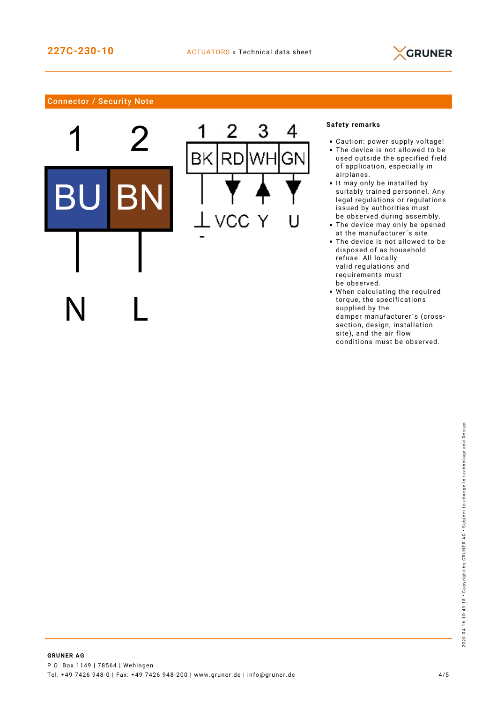3

Wŀ

⊿

Gľ



# Connector / Security Note



### **Safety remarks**

- Caution: power supply voltage!
- The device is not allowed to be used outside the specified field of application, especially in airplanes.
- It may only be installed by suitably trained personnel. Any legal regulations or regulations issued by authorities must be observed during assembly.
- The device may only be opened at the manufacturer´s site.
- The device is not allowed to be disposed of as household refuse. All locally valid regulations and requirements must be observed.
- When calculating the required torque, the specifications supplied by the damper manufacturer´s (crosssection, design, installation site), and the air flow conditions must be observed.